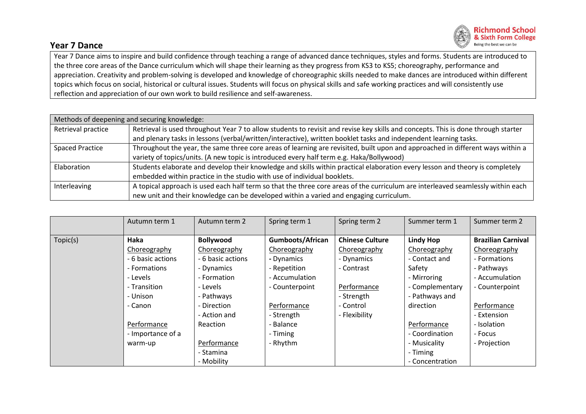

## **Year 7 Dance**

Year 7 Dance aims to inspire and build confidence through teaching a range of advanced dance techniques, styles and forms. Students are introduced to the three core areas of the Dance curriculum which will shape their learning as they progress from KS3 to KS5; choreography, performance and appreciation. Creativity and problem-solving is developed and knowledge of choreographic skills needed to make dances are introduced within different topics which focus on social, historical or cultural issues. Students will focus on physical skills and safe working practices and will consistently use reflection and appreciation of our own work to build resilience and self-awareness.

| Methods of deepening and securing knowledge: |                                                                                                                                   |  |  |  |  |  |
|----------------------------------------------|-----------------------------------------------------------------------------------------------------------------------------------|--|--|--|--|--|
| Retrieval practice                           | Retrieval is used throughout Year 7 to allow students to revisit and revise key skills and concepts. This is done through starter |  |  |  |  |  |
|                                              | and plenary tasks in lessons (verbal/written/interactive), written booklet tasks and independent learning tasks.                  |  |  |  |  |  |
| <b>Spaced Practice</b>                       | Throughout the year, the same three core areas of learning are revisited, built upon and approached in different ways within a    |  |  |  |  |  |
|                                              | variety of topics/units. (A new topic is introduced every half term e.g. Haka/Bollywood)                                          |  |  |  |  |  |
| Elaboration                                  | Students elaborate and develop their knowledge and skills within practical elaboration every lesson and theory is completely      |  |  |  |  |  |
|                                              | embedded within practice in the studio with use of individual booklets.                                                           |  |  |  |  |  |
| Interleaving                                 | A topical approach is used each half term so that the three core areas of the curriculum are interleaved seamlessly within each   |  |  |  |  |  |
|                                              | new unit and their knowledge can be developed within a varied and engaging curriculum.                                            |  |  |  |  |  |

|          | Autumn term 1     | Autumn term 2     | Spring term 1           | Spring term 2          | Summer term 1    | Summer term 2             |
|----------|-------------------|-------------------|-------------------------|------------------------|------------------|---------------------------|
|          |                   |                   |                         |                        |                  |                           |
| Topic(s) | Haka              | <b>Bollywood</b>  | <b>Gumboots/African</b> | <b>Chinese Culture</b> | <b>Lindy Hop</b> | <b>Brazilian Carnival</b> |
|          | Choreography      | Choreography      | Choreography            | Choreography           | Choreography     | Choreography              |
|          | - 6 basic actions | - 6 basic actions | - Dynamics              | - Dynamics             | - Contact and    | - Formations              |
|          | - Formations      | - Dynamics        | - Repetition            | - Contrast             | Safety           | - Pathways                |
|          | - Levels          | - Formation       | - Accumulation          |                        | - Mirroring      | - Accumulation            |
|          | - Transition      | - Levels          | - Counterpoint          | Performance            | - Complementary  | - Counterpoint            |
|          | - Unison          | - Pathways        |                         | - Strength             | - Pathways and   |                           |
|          | - Canon           | - Direction       | Performance             | - Control              | direction        | Performance               |
|          |                   | - Action and      | - Strength              | - Flexibility          |                  | - Extension               |
|          | Performance       | <b>Reaction</b>   | - Balance               |                        | Performance      | - Isolation               |
|          | - Importance of a |                   | - Timing                |                        | - Coordination   | - Focus                   |
|          | warm-up           | Performance       | - Rhythm                |                        | - Musicality     | - Projection              |
|          |                   | - Stamina         |                         |                        | - Timing         |                           |
|          |                   | - Mobility        |                         |                        | - Concentration  |                           |